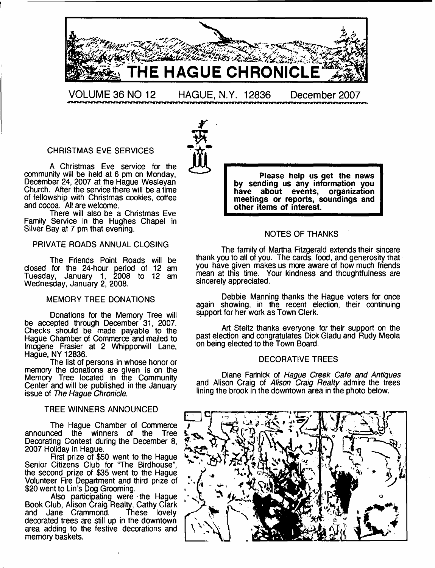

CHRISTMAS EVE SERVICES

A Christmas Eve service for the community will be held at 6 pm on Monday, December 24, 2007 at the Hague Wesleyan Church. After the service there will be a time of fellowship with Christmas cookies, coffee and cocoa. All are welcome.

There will also be a Christmas Eve Family Service in the Hughes Chapel in Silver Bay at 7 pm that evening.

#### PRIVATE ROADS ANNUAL CLOSING

The Friends Point Roads will be closed for the 24-hour period of 12 am Tuesday, January 1, 2008 to 12 am Wednesday, January 2, 2008.

#### MEMORY TREE DONATIONS

Donations for the Memory Tree will be accepted through December 31, 2007. Checks should be made payable to the Hague Chamber of Commerce and mailed to Imogene Frasier at 2 Whipporwill Lane, Hague, NY 12836.

The list of persons in whose honor or memory the donations are given is on the Memory Tree located in the Community Center and will be published in the January issue of *The Hague Chronicle*.

#### TREE WINNERS ANNOUNCED

The Hague Chamber of Commerce<br>ced the winners of the Tree announced the winners of the Decorating Contest during the December 8, 2007 Holiday in Hague.

First prize of \$50 went to the Hague Senior Citizens Club for "The Birdhouse", the second prize of \$35 went to the Hague Volunteer Fire Department and third prize of \$20 went to Lin's Dog Grooming.

Also participating were the Hague Book Club, Alison Craig Realty, Cathy Clark and Jane Crammond. These lovely decorated trees are still up in the downtown area adding to the festive decorations and memory baskets.



**FREE ASSESS**<br>
Please help us get the news<br>
by sending us any information you **have about events, organization meetings or reports, soundings and other items of interest.**

#### NOTES OF THANKS

The family of Martha Fitzgerald extends their sincere thank you to all of you. The cards, food, and generosity that you have given makes us more aware of how much friends mean at this time. Your kindness and thoughtfulness are sincerely appreciated.

Debbie Manning thanks the Hague voters for once again showing, in the recent election, their continuing support for her work as Town Clerk.

Art Steitz thanks everyone for their support on the past election and congratulates Dick Gladu and Rudy Meola on being elected to the Town Board.

#### DECORATIVE TREES

Diane Farinick of *Hague Creek Cafe and Antiques* and Alison Craig of *Alison Craig Realty* admire the trees lining the brook in the downtown area in the photo below.

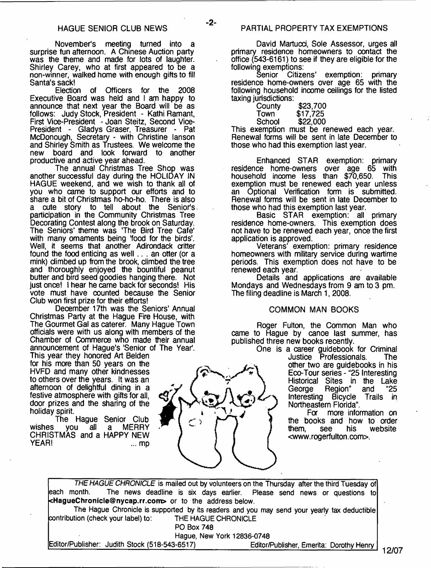November's meeting turned into a surprise fun afternoon. A Chinese Auction party was the theme and made for lots of laughter. Shirley Carey, who at first appeared to be a non-winner, walked home with enough gifts to fill Santa's sack!

Election of Officers for the 2008 Executive Board was held and I am happy to announce that next year the Board will be as follows: Judy Stock, President - Kathi Ramant, First Vice-President - Joan Steitz, Second Vice-President - Gladys Graser, Treasurer - Pat McDonough, Secretary - with Christine lanson and Shirley Smith as Trustees. We welcome the new board and look forward to another productive and active year ahead.

The annual Christmas Tree Shop was another successful day during the HOLIDAY IN HAGUE weekend, and we wish to thank all of you who came to support our efforts and to share a bit of Christmas ho-ho-ho. There is also a cute story to tell about the Senior's participation in the Community Christmas Tree Decorating Contest along the brook on Saturday. The Seniors' theme was The Bird Tree Cafe' with many omaments being 'food for the birds'. Well, it seems that another Adirondack critter found the food enticing as well... an otter (or a mink) climbed up from the brook, climbed the tree and thoroughly enjoyed the bountiful peanut butter and bird seed goodies hanging there. Not just once! I hear he came back for seconds! His vote must have counted because the Senior Club won first prize for their efforts!

December 17th was the Seniors' Annual Christmas Party at the Hague Fire House, with The Gourmet Gal as caterer. Many Hague Town officials were with us along with members of the Chamber of Commerce who made their annual announcement of Hague's 'Senior of The Year'.

This year they honored Art Belden for his more than 50 years on the HVFD and many other kindnesses to others over the years. It was an afternoon of delightful dining in a festive atmosphere with gifts for all, door prizes and the sharing of the holiday spirit.

The Hague Senior Club<br>vou all a MERRY wishes you all a CHRISTMAS and a HAPPY NEW YEAR! ... mp

David Martucd, Sole Assessor, urges all primary residence homeowners to contact the office (543-6161) to see if they are eligible for the following exemptions:

Senior Citizens' exemption: primary residence home-owners over age 65 with the following household income ceilings for the listed taxing jurisdictions:

| County | \$23,700 |
|--------|----------|
| Town   | \$17,725 |
| School | \$22,000 |

This exemption must be renewed each year. Renewal forms will be sent in late December to those who had this exemption last year.

Enhanced STAR exemption: primary residence home-owners over age 65 with household income less than  $$70,650$ . exemption must be renewed each year unless an Optional Verification form is submitted. Renewal forms will be sent in late December to those who had this exemption last year.

Basic STAR exemption: all primary residence home-owners. This exemption does not have to be renewed each year, once the first application is approved.

Veterans' exemption: primary residence homeowners with military service during wartime periods. This exemption does not have to be renewed each year.

Details and applications are available Mondays and Wednesdays from 9 am to 3 pm. The filing deadline is March 1, 2008.

#### COMMON MAN BOOKS

Roger Fulton, the Common Man who came to Hague by canoe last summer, has published three new books recently.

One is a career guidebook for Criminal Justice Professionals. The other two are guidebooks in his Eco-Tour series - "25 Interesting Historical Sites in the Lake<br>George Region" and "25 Region" and "25<br>Bicycle Trails in Interesting Bicycle Northeastern Florida".

> For more information on the books and how to order<br>them, see his website website <www. rogerfulton. com>.

*THE HAGUE CHRONICLE* is mailed out by volunteers on the Thursday after the third Tuesday of each month. The news deadline is six days earlier. Please send news or questions to **[<HagueChronicle@nycap.rr.com>](mailto:HagueChronicle@nycap.rr.com)** or to the address below. The Hague Chronicle is supported by its readers and you may send your yearly tax deductible contribution (check your label) to: THE HAGUE CHRONICLE PO Box 748 Hague, New York 12836-0748 Editor/Publisher: Judith Stock (518-543-6517)\_\_\_\_\_\_\_\_\_\_\_\_\_\_Editor/Publisher, Emerita: Dorothy Henry



- **2**-

**12/07**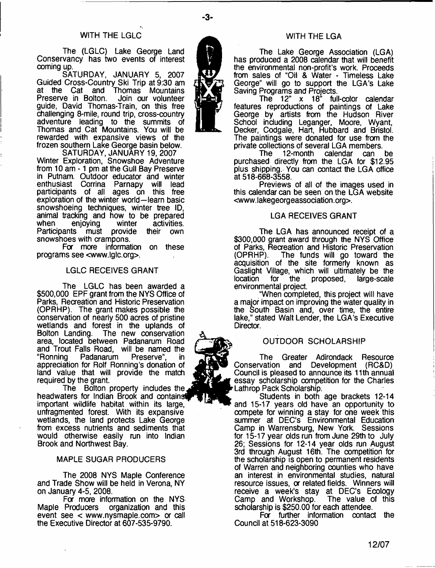#### WiTH THE LGLC

The (LGLC) Lake George Land Conservancy has two events of interest coming up.

SATURDAY, JANUARY 5, 2007 Guided Cross-Country Ski Trip at 9:30 am at the Cat and Thomas Mountains Preserve in Bolton. Join our volunteer guide, David Thomas-Train, on this free challenging 8-mile, round trip, cross-country adventure leading to the summits of Thomas and Cat Mountains. You will be rewarded with expansive views of the frozen southern Lake George basin below.

SATURDAY, JANUARY 19, 2007 Winter Exploration, Snowshoe Adventure from 10 am -1 pm at the Gull Bay Preserve in Putnam. Outdoor educator and winter enthusiast Corrina Parnapy will lead participants of all ages on this free exploration of the winter world—learn basic snowshoeing techniques, winter tree ID, animal tracking and how to be prepared when enjoying winter activities.<br>Participants must provide their own Participants must provide snowshoes with crampons.

For more information on these programs see [<www.lglc.org](http://www.lglc.org)>.

#### LGLC RECEIVES GRANT

The LGLC has been awarded a \$500,000 EPF grant from the NYS Office of Parks, Recreation and Historic Preservation (OPRHP). The grant makes possible the conservation of nearly 500 acres of pristine wetlands and forest in the uplands of Bolton Landing. The new conservation area, located between Padanarum Road and Trout Falls Road, will be named the ''Ronning Padanarum Preserve", in appreciation for Rolf Ronning's donation of land value that will provide the match required by the grant.

The Bolton property includes the, headwaters for Indian Brook and containst important wildlife habitat within its large, unfragmented forest. With its expansive wetlands, the land protects Lake George from excess nutrients and sediments that would otherwise easily run into Indian Brook and Northwest Bay.

#### MAPLE SUGAR PRODUCERS

The 2008 NYS Maple Conference and Trade Show will be held in Verona, NY on January 4-5, 2008.

For more information on the NYS-<br>Maple Producers organization and this organization and this event see  $\lt$  [www.nysmaple.com](http://www.nysmaple.com) $>$  or call the Executive Director at 607-535-9790.

#### WITH THE LGA

The Lake George Association (LGA) has produced a 2008 calendar that will benefit the environmental non-profit's work. Proceeds from sales of "Oil & Water - Timeless Lake George" will go to support the LGA's Lake Saving Programs and Projects.

The 12" x 18" full-color calendar features reproductions of paintings of Lake George by artists from the Hudson River School including Leganger, Moore, Wyant, Decker, Codgale, Hart, Hubbard and Bristol. The paintings were donated for use from the private collections of several LGA members.<br>The 12-month calendar can

12-month calendar can be purchased directly from the LGA for \$12.95 plus shipping. You can contact the LGA office at 518-668-3558.

Previews of all of the images used in this calendar can be seen on the LGA website [<www.lakegeorgeassociation.org>](http://www.lakegeorgeassociation.org).

#### LGA RECEIVES GRANT

The LGA has announced receipt of a \$300,000 grant award through the NYS Office of Parks, Recreation and Historic Preservation<br>(OPRHP). The funds will go toward the The funds will go toward the acquisition of the site formerly known as Gaslight Village, which will ultimately be the location for the proposed, large-scale environmental project.

"When completed, this project will have a major impact on improving the water quality in the South Basin and, over time, the entire lake," stated Walt Lender, the LGA's Executive Director.

#### OUTDOOR SCHOLARSHIP

The Greater Adirondack Resource Conservation and Development (RC&D) Council is pleased to announce its 11th annual essay scholarship competition for the Charles Lathrop Pack Scholarship.

Students in both age brackets 12-14 and 15-17 years old have an opportunity to compete for winning a stay for one week this summer at DEC's Environmental Education Camp in Warrensburg, New York. Sessions for 15-17 year olds run from June 29th to July 26; Sessions for 12-14 year olds run August 3rd through August 16th. The competition for the scholarship is open to permanent residents of Warren and neighboring counties who have an interest in environmental studies, natural resource issues, or related fields. Winners will receive a week's stay at DEC's Ecology<br>Camp and Workshop. The value of this Camp and Workshop. scholarship is \$250.00 for each attendee.

For further information contact the Council at 518-623-3090

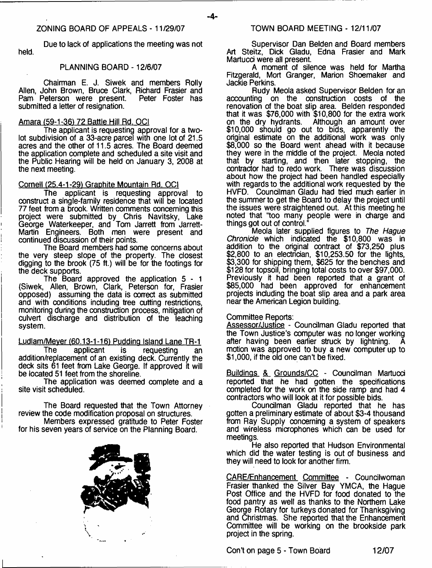- **4**-

Due to lack of applications the meeting was not held.

#### PLANNING BOARD -12/6/07

Chairman E. J. Siwek and members Roily Allen, John Brown, Bruce Clark, Richard Frasier and<br>Pam Peterson were present. Peter Foster has Pam Peterson were present. submitted a letter of resignation.

#### Amara (59-1-36) 72 Battle Hill Rd. OCI

The applicant is requesting approval for a twolot subdivision of a 33-acre parcel with one lot of 21.5 acres and the other of 11.5 acres. The Board deemed the application complete and scheduled a site visit and the Public Hearing will be held on January 3, 2008 at the next meeting.

#### Cornell (25.4-1-29) Graphite Mountain Rd. OCI

The applicant is requesting approval to construct a single-family residence that will be located 77 feet from a brook. Written comments concerning this project were submitted by Chris Navitsky, Lake George Waterkeeper, and Tom Jarrett from Jarrett-Martin Engineers. Both men were present and continued discussion of their points.

The Board members had some concerns about the very steep slope of the property. The closest digging to the brook (75 ft.) will be for the footings for the deck supports.

The Board approved the application  $5 - 1$ (Siwek, Allen, Brown, Clark, Peterson for, Frasier opposed) assuming the data is correct as submitted and with conditions including tree cutting restrictions, monitoring during the construction process, mitigation of culvert discharge and distribution of the leaching system.

Ludlam/Meyer (60.13-1-16) Pudding Island Lane TR-1<br>The applicant is requesting an

The applicant is requesting an addition/replacement of an existing deck. Currently the deck sits 61 feet from Lake George. If approved it will be located 51 feet from the shoreline.

The application was deemed complete and a site visit scheduled.

The Board requested that the Town Attorney review the code modification proposal on structures.

Members expressed gratitude to Peter Foster for his seven years of service on the Planning Board.



Supervisor Dan Belden and Board members Art Steitz, Dick Gladu, Edna Frasier and Mark Martucd were all present.

A moment of silence was held for Martha Fitzgerald, Mort Granger, Marion Shoemaker and Jackie Perkins.

Rudy Meola asked Supervisor Belden for an accounting on the construction costs of the renovation of the boat slip area. Belden responded that it was \$76,000 with \$10,800 for the extra work on the dry hydrants. Although an amount over \$10,000 should go out to bids, apparently the original estimate on the additional work was only \$8,000 so the Board went ahead with it because they were in the middle of the project. Meola noted that by starting, and then later stopping, the contractor had to redo work. There was discussion about how the project had been handled especially with regards to the additional work requested by the HVFD. Councilman Gladu had tried much earlier in the summer to get the Board to delay the project until the issues were straightened out. At this meeting he noted that "too many people were in charge and things got out of control."

Meola later supplied figures to *The Hague Chronicle* which indicated the \$10,800 was in addition to the original contract of \$73,250 plus \$2,800 to an electrician, \$10,253.50 for the lights, \$3,300 for shipping them, \$625 for the benches and \$128 for topsoil, bringing total costs to over \$97,000. Previously it had been reported that a grant of \$85,000 had been approved for enhancement projects including the boat slip area and a park area near the American Legion building.

#### Committee Reports:

Assessor/Justice - Councilman Gladu reported that the Town Justice's computer was no longer working after having been earlier struck by lightning. motion was approved to buy a new computer up to \$1,000, if the old one can't be fixed.

Buildings & Grounds/CC - Councilman Martucci reported that he had gotten the spedfications completed for the work on the side ramp and had 4 contractors who will look at it for possible bids.

Councilman Gladu reported that he has gotten a preliminary estimate of about \$3-4 thousand from Ray Supply concerning a system of speakers and wireless microphones which can be used for meetings.

He also reported that Hudson Environmental which did the water testing is out of business and they will need to look for another firm.

CARE/Enhancement Committee - Councilwoman Frasier thanked the Silver Bay YMCA, the Hague Post Office and the HVFD for food donated to the food pantry as well as thanks to the Northern Lake George Rotary for turkeys donated for Thanksgiving and Christmas. She reported that the Enhancement Committee will be working on the brookside park project in the spring.

Con't on page 5 - Town Board 12/07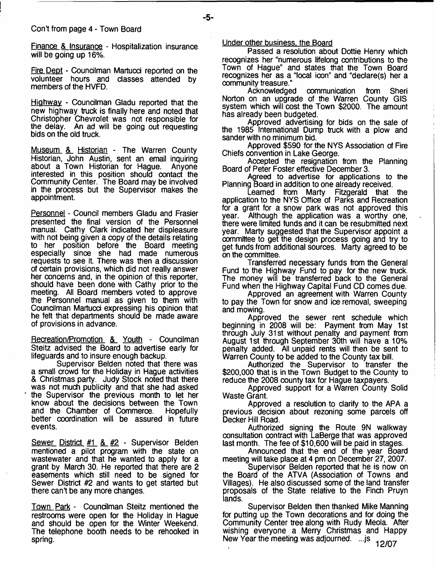Finance & Insurance - Hospitalization insurance will be going up 16%.

Fire Dept - Councilman Martucci reported on the volunteer hours and classes attended by members of the HVFD.

Highway - Councilman Gladu reported that the new highway truck is finally here and noted that Christopher Chevrolet was not responsible for the delay. An ad will be going out requesting bids on the old truck.

Museum & Historian - The Warren County Historian, John Austin, sent an email inquiring<br>about a Town Historian for Haque. Anyone about a Town Historian for Hague. interested in this position should contact the Community Center. The Board may be involved in the process but the Supervisor makes the appointment.

Personnel - Council members Gladu and Frasier presented the final version of the Personnel manual. Cathy Clark indicated her displeasure with not being given a copy of the details relating to her position before the Board meeting especially since she had made numerous requests to see it. There was then a discussion of certain provisions, which did not really answer her concerns and, in the opinion of this reporter, should have been done with Cathy prior to the meeting. All Board members voted to approve the Personnel manual as given to them with Councilman Martucd expressing his opinion that he felt that departments should be made aware of provisions in advance.

Recreation/Promotion & Youth - Councilman Steitz advised the Board to advertise early for lifeguards and to insure enough backup.

Supervisor Belden noted that there was a small crowd for the Holiday in Hague activities & Christmas party. Judy Stock noted that there was not much publicity and that she had asked ' the Supervisor the previous month to let her know about the decisions between the Town and the Chamber of Commerce. better coordination will be assured in future events.

Sewer District #1 & #2 - Supervisor Belden mentioned a pilot program with the state on wastewater and that he wanted to apply for a grant by March 30. He reported that there are 2 easements which still need to be signed for Sewer District #2 and wants to get started but there can't be any more changes.

Town Park - Councilman Steitz mentioned the restrooms were open for the Holiday in Hague and should be open for the Winter Weekend. The telephone booth needs to be rehooked in spring.

#### Under other business, the Board

Passed a resolution about Dottie Henry which recognizes her "numerous lifelong contributions to the Town of Hague" and states that the Town Board recognizes her as a "local icon" and "declare(s) her a community treasure."

Acknowledged communication from Sheri Norton on an upgrade of the Warren County GIS system which will cost the Town \$2000. The amount has already been budgeted.

Approved advertising for bids on the sale of the 1985 International Dump truck with a plow and sander with no minimum bid.

Approved \$590 for the NYS Association of Fire Chiefs convention in Lake George.

Accepted the resignation from the Planning Board of Peter Foster effective December 3.

Agreed to advertise for applications to the Planning Board in addition to one already received.

Learned from Marty Fitzgerald that the application to the NYS Office of Parks and Recreation for a grant for a snow park was not approved this vear. Although the application was a worthy one. Although the application was a worthy one, there were limited funds and it can be resubmitted next year. Marty suggested that the Supervisor appoint a committee to get the design process going and try to get funds from additional sources. Marty agreed to be on the committee.

Transferred necessary funds from the General Fund to the Highway Fund to pay for the new truck. The money will be transferred back to the General Fund when the Highway Capital Fund CD comes due.

Approved an agreement with Warren County to pay the Town for snow and ice removal, sweeping and mowing.

Approved the sewer rent schedule which beginning in 2008 will be: Payment from May 1st through July 31st without penalty and payment from August 1st through September 30th will have a 10% penalty added. All unpaid rents will then be sent to Warren County to be added to the County tax bill.

Authorized the Supervisor to transfer the \$200,000 that is in the Town Budget to the County to reduce the 2008 county tax for Hague taxpayers.

Approved support for a Warren County Solid Waste Grant.

Approved a resolution to clarify to the APA a previous decision about rezoning some parcels off Decker Hill Road.

Authorized signing the Route 9N walkway consultation contract with LaBerge that was approved last month. The fee of \$10,600 will be paid in stages.

Announced that the end of the year Board meeting will take place at 4 pm on December 27, 2007.

Supervisor Belden reported that he is now on the Board of the ATVA (Association of Towns and Villages). He also discussed some of the land transfer proposals of the State relative to the Finch Pruyn lands.

Supervisor Belden then thanked Mike Manning for putting up the Town decorations and for doing the Community Center tree along with Rudy Meola. After wishing everyone a Merry Christmas and Happy New Year the meeting was adjourned. ...js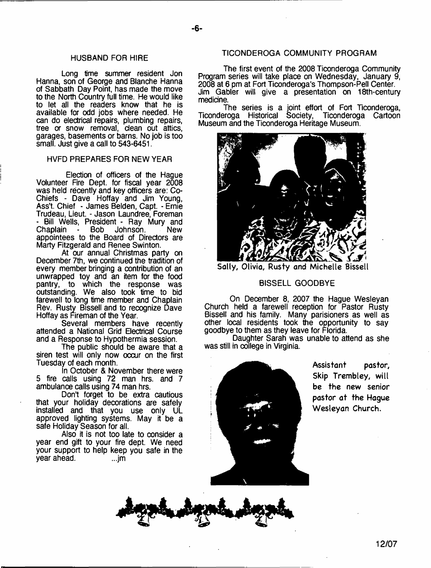#### HUSBAND FOR HIRE

Long time summer resident Jon Hanna, son of George and Blanche Hanna of Sabbath Day Point, has made the move to the North Country full time. He would like to let all the readers know that he is available for odd jobs where needed. He can do electrical repairs, plumbing repairs, tree or snow removal, dean out attics, garages, basements or barns. No job is too small. Just give a call to 543-6451.

#### HVFD PREPARES FOR NEW YEAR

Election of officers of the Hague Volunteer Rre Dept, for fiscal year 2008 was held recently and key officers are: Co-Chiefs - Dave Hoffay and Jim Young, Ass't. Chief - James Belden, Capt. - Ernie Trudeau, Lieut. - Jason Laundree, Foreman - Bill Wells, President - Ray Mury and<br>Chaplain - Bob Johnson. New - Bob Johnson. appointees to the Board of Directors are Marty Fitzgerald and Renee Swinton.

At our annual Christmas party on December 7th, we continued the tradition of every member bringing a contribution of an unwrapped toy and an item for the food pantry, to which the response was outstanding. We also took time to bid farewell to long time member and Chaplain Rev. Rusty Bissell and to recognize Dave Hoffay as Fireman of the Year.

Several members have recently attended a National Grid Electrical Course and a Response to Hypothermia session.

The public should be aware that a siren test will only now occur on the first Tuesday of each month.

In October & November there were 5 fire calls using 72 man hrs. and 7 ambulance calls using 74 man hrs.

Don't forget to be extra cautious that your holiday decorations are safely installed and that you use only UL approved lighting systems. May it be a safe Holiday Season for all.

Also it is not too late to consider a year end gift to your fire dept. We need your support to help keep you safe in the year ahead. vear ahead.

#### TICONDEROGA COMMUNITY PROGRAM

The first event of the 2008 Ticonderoga Community Program series will take place on Wednesday, January 9, 2008 at 6 pm at Fort Ticonderoga's Thompson-Pell Center. Jim Gabler will give a presentation on 18th-century medicine.

The series is a joint effort of Fort Ticonderoga, Ticonderoga Historical Society, Ticonderoga Cartoon Museum and the Ticonderoga Heritage Museum.



Sally, Olivia, Rusty and Michelle Bissell

#### BISSELL GOODBYE

On December 8, 2007 the Hague Wesleyan Church held a farewell reception for Pastor Rusty Bissell and his family. Many parisioners as well as other local residents took the opportunity to say goodbye to them as they leave for Florida.

Daughter Sarah was unable to attend as she was still in college in Virginia.



Assistant pastor, Skip Trembley, will be the new senior pastor at the Hague Wesleyan Church.

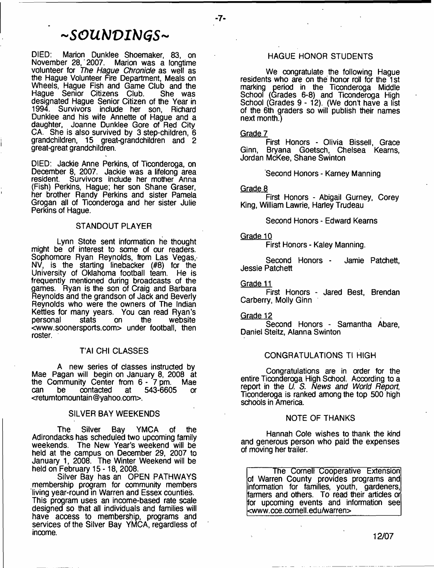# *~ S O U b J V I b ) G S ~*

DIED: Marion Dunklee Shoemaker, 83, on Marion was a longtime volunteer for *The Hague Chronicle* as well as the Hague Volunteer Fire Department, Meals on Wheels, Hague Fish and Game Club and the Hague Senior Citizens Club. She was Haque Senior Citizens Club. designated Hague Senior Citizen of the Year in 1994. Survivors include her son, Richard Dunklee and his wife Annette of Hague and a daughter, Joanne Dunklee Gore of Red City CA. She is also survived by 3 step-children, 6 grandchildren, 15 great-grandchildren and 2 great-great grandchildren.

DIED: Jackie Anne Perkins, of Ticonderoga, on December 8, 2007. Jackie was a lifelong area resident. Survivors include her mother Anna (Fish) Perkins, Hague; her son Shane Graser, her brother Randy Perkins and sister Pamela Grogan all of Ticonderoga and her sister Julie Perkins of Hague.

#### STANDOUT PLAYER

Lynn Stote sent information he thought might be of interest to some of our readers. Sophomore Ryan Reynolds, from Las Vegas, NV, is the starting linebacker (#8) for the University of Oklahoma football team. He is frequently mentioned during broadcasts of the games. Ryan is the son of Craig and Barbara Reynolds and the grandson of Jack and Beverly Reynolds who were the owners of The Indian Kettles for many years. You can read Ryan's personal <[www.soonersports.com](http://www.soonersports.com)> under football, then roster.

#### T'AI CHI CLASSES

A new series of classes instructed by Mae Pagan will begin on January 8, 2008 at the Community Center from 6 - 7 pm. Mae can be contacted at 543-6605 or <retumtomountain @yahoo.com>.

#### SILVER BAY WEEKENDS

The Silver Bay YMCA of the Adirondacks has scheduled two upcoming family weekends. The New Year's weekend will be held at the campus on December 29, 2007 to January 1, 2008. The Winter Weekend will be held on February 15-18, 2008.

Silver Bay has an OPEN PATHWAYS membership program for community members living year-round in Warren and Essex counties. This program uses an income-based rate scale designed so that all individuals and families will have access to membership, programs and services of the Silver Bay YMCA, regardless of income.

#### HAGUE HONOR STUDENTS

We congratulate the following Hague residents who are on the honor roll for the 1 st marking period in the Ticonderoga Middle School (Grades 6-8) and Ticonderoga High School (Grades 9 - 12). (We don't have a list of the 6th graders so will publish their names next month.)

#### Grade 7

First Honors - Olivia Bissell, Grace Ginn, Bryana Goetsch, Chelsea Kearns, Jordan McKee, Shane Swinton

Second Honors - Karney Manning

#### Grade 8

First Honors - Abigail Gurney, Corey King, William Lawrie, Harley Trudeau

#### Second Honors - Edward Kearns

#### Grade 10

First Honors - Kaley Manning.

Second Honors - Jamie Patchett, Jessie Patchett

Grade 11

First Honors - Jared Best, Brendan Carberry, Molly Ginn

#### Grade 12

Second Honors - Samantha Abare, Daniel Steitz, Alanna Swinton

#### CONGRATULATIONS Tl HIGH

Congratulations are in order for the entire Ticonderoga High School. According to a report in the *U. S. News and World Report*; Ticonderoga is ranked among the top 500 high schools in America.

#### NOTE OF THANKS

Hannah Cole wishes to thank the kind and generous person who paid the expenses of moving her trailer.

The Cornell Cooperative Extension of Warren County provides programs and information for families, youth, gardeners, farmers and others. To read their articles or for upcoming events and information see [<www.cce.cornell.edu/warren](http://www.cce.cornell.edu/warren)>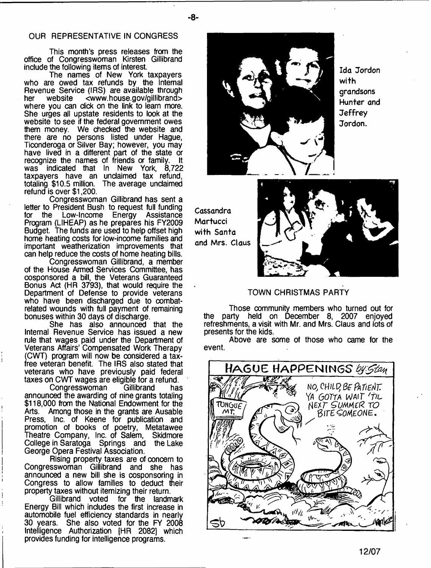#### OUR REPRESENTATIVE IN CONGRESS

This month's press releases from the office of Congresswoman Kirsten Gillibrand include the following items of interest.

The names of New York taxpayers who are owed tax refunds by the Internal Revenue Service (IRS) are available through<br>her website <www.house.gov/gillibrand> her website <[www.house.gov/gillibrand>](http://www.house.gov/gillibrand) where you can dick on the link to learn more. She urges all upstate residents to look at the website to see if the federal government owes them money. We checked the website and there are no persons listed under Hague, Ticonderoga or Silver Bay; however, you may have lived in a different part of the state or recognize the names of friends or family. was indicated that In New York, 8,722 taxpayers have an unclaimed tax refund. totaling \$10.5 million. The average unclaimed refund is over \$1,200.

Congresswoman Gillibrand has sent a letter to President Bush to request full funding for the Low-lncome Energy Assistance Program (LIHEAP) as he prepares his FY2009 Budget. The funds are used to help offset high home heating costs for low-income families and important weatherization improvements that can help reduce the costs of home heating bills.

Congresswoman Gillibrand, a member of the House Armed Services Committee, has cosponsored a bill, the Veterans Guaranteed Bonus Act (HR 3793), that would require the Department of Defense to provide veterans who have been discharged due to combatrelated wounds with full payment of remaining bonuses within 30 days of discharge.

She has also announced that the Internal Revenue Service has issued a new rule that wages paid under the Department of Veterans Affairs' Compensated Work Therapy (CWT) program will now be considered a taxfree veteran benefit. The IRS also stated that veterans who have previously paid federal taxes on CWT wages are eligible for a refund.

Congresswoman Gillibrand has announced the awarding of nine grants totaling \$118,000 from the National Endowment for the Arts. Among those in the grants are Ausable Press, Inc. of Keene for publication and promotion of books of poetry, Metatawee Theatre Company, Inc. of Salem, Skidmore College in Saratoga Springs and the Lake George Opera Festival Association.

Rising property taxes are of concern to Congresswoman Gillibrand and she has announced a new bill she is cosponsoring in Congress to allow families to deduct their property taxes without itemizing their return.

Gillibrand voted for the landmark Energy Bill which includes the first increase in automobile fuel efficiency standards in nearly 30 years. She also voted for the FY 2008 Intelligence Authorization [HR 2082] which provides funding for intelligence programs.



Ida Jordon with grandsons Hunter and **Jeffrey** Jordon.

Cassandra **Martucci** with Santa and Mrs. Claus



#### TOWN CHRISTMAS PARTY

Those community members who turned out for the party held on December 8, 2007 enjoyed refreshments, a visit with Mr. and Mrs. Claus and lots of presents for the kids.

Above are some of those who came for the event.

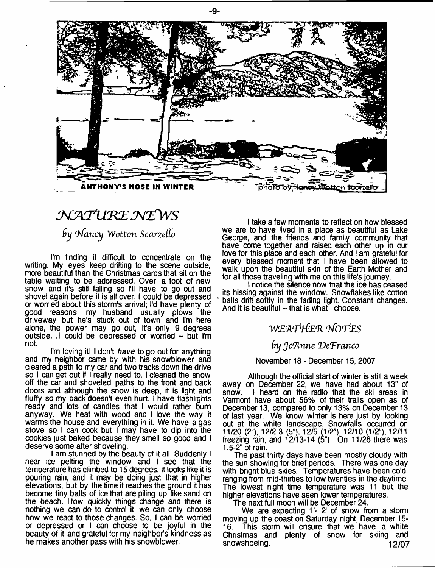

# *j^jaixm E w z w s*

## **by Nancy Wotton Scarzello**

I'm finding it difficult to concentrate on the writing. My eyes keep drifting to the scene outside, more beautiful than the Christmas cards that sit on the table waiting to be addressed. Over a foot of new snow and it's still falling so I'll have to go out and shovel again before it is all over. I could be depressed or worried about this storm's arrival; I'd have plenty of good reasons: my husband usually plows the driveway but he's stuck out of town and I'm here alone, the power may go out, it's only 9 degrees outside...I could be depressed or worried ~ but I'm not.

I'm loving it! I don't *have* to go out for anything and my neighbor came by with his snowblower and cleared a path to my car and two tracks down the drive so I can get out if I really need to. I cleaned the snow off the car and shoveled paths to the front and back doors and although the snow is deep, it is light and fluffy so my back doesn't even hurt. I have flashlights ready and lots of candles that I would rather burn anyway. We heat with wood and I love the way it warms the house and everything in it. We have a gas stove so I can cook but I may have to dip into the cookies just baked because they smell so good and I deserve some after shoveling.

I am stunned by the beauty of it all. Suddenly I hear ioe pelting the window and I see that the temperature has dimbed to 15 degrees. It looks like it is pouring rain, and it may be doing just that in higher elevations, but by the time it reaches the ground it has become tiny balls of ice that are piling up like sand on the beach. How quickly things change and there is nothing we can do to control it; we can only choose how we react to those changes. So, I can be worried or depressed or I can choose to be joyful in the beauty of it and grateful for my neighbor's kindness as he makes another pass with his snowblower.

I take a few moments to reflect on how blessed we are to have lived in a place as beautiful as Lake George, and the friends and family community that have oome together and raised each other up in our love for this place and each other. And I am grateful for every blessed moment that I have been allowed to walk upon the beautiful skin of the Earth Mother and for all those traveling with me on this life's journey.

I notice the silence now that the ice has ceased its hissing against the window. Snowflakes like cotton balls drift softly in the fading light. Constant changes. And it is beautiful  $\sim$  that is what I choose.

## *W £'A T1}{'E'R 'hfOTteS*

## *by JofAnne 'De'Franco*

#### November 18 - December 15, 2007

Although the official start of winter is still a week away on December 22, we have had about 13" of snow. I heard on the radio that the ski areas in Vermont have about 56% of their trails open as of December 13, compared to only 13% on December 13 of last year. We know winter is here just by looking out at the white landscape. Snowfalls occurred on 11/20 (2"), 12/2-3 (5"), 12/5 (1/2"), 12/10 (1/2"), 12/11 freezing rain, and 12/13-14 (5"). On 11/26 there was 1.5-2" of rain.

The past thirty days have been mostly cloudy with the sun showing for brief periods. There was one day with bright blue skies. Temperatures have been cold, ranging from mid-thirties to low twenties in the daytime. The lowest night time temperature was 11 but the higher elevations have seen lower temperatures.

The next full moon will be December 24.

We are expecting 1'- 2' of snow from a storm moving up the coast on Saturday night, December 15- 16. This storm will ensure that we have a white Christmas and plenty of snow for skiing and snowshoeing. 12/07